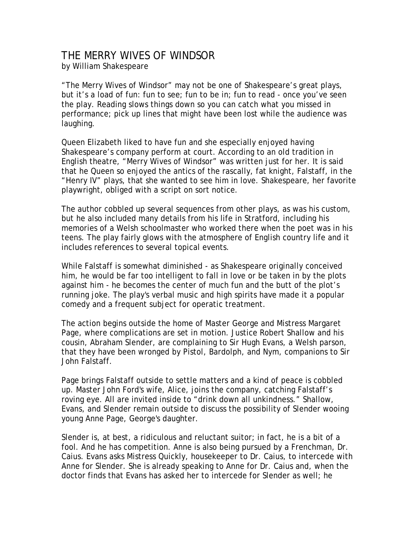## THE MERRY WIVES OF WINDSOR

by William Shakespeare

"The Merry Wives of Windsor" may not be one of Shakespeare's great plays, but it's a load of fun: fun to see; fun to be in; fun to read - once you've seen the play. Reading slows things down so you can catch what you missed in performance; pick up lines that might have been lost while the audience was laughing.

Queen Elizabeth liked to have fun and she especially enjoyed having Shakespeare's company perform at court. According to an old tradition in English theatre, "Merry Wives of Windsor" was written just for her. It is said that he Queen so enjoyed the antics of the rascally, fat knight, Falstaff, in the "Henry IV" plays, that she wanted to see him in love. Shakespeare, her favorite playwright, obliged with a script on sort notice.

The author cobbled up several sequences from other plays, as was his custom, but he also included many details from his life in Stratford, including his memories of a Welsh schoolmaster who worked there when the poet was in his teens. The play fairly glows with the atmosphere of English country life and it includes references to several topical events.

While Falstaff is somewhat diminished - as Shakespeare originally conceived him, he would be far too intelligent to fall in love or be taken in by the plots against him - he becomes the center of much fun and the butt of the plot's running joke. The play's verbal music and high spirits have made it a popular comedy and a frequent subject for operatic treatment.

The action begins outside the home of Master George and Mistress Margaret Page, where complications are set in motion. Justice Robert Shallow and his cousin, Abraham Slender, are complaining to Sir Hugh Evans, a Welsh parson, that they have been wronged by Pistol, Bardolph, and Nym, companions to Sir John Falstaff.

Page brings Falstaff outside to settle matters and a kind of peace is cobbled up. Master John Ford's wife, Alice, joins the company, catching Falstaff's roving eye. All are invited inside to "drink down all unkindness." Shallow, Evans, and Slender remain outside to discuss the possibility of Slender wooing young Anne Page, George's daughter.

Slender is, at best, a ridiculous and reluctant suitor; in fact, he is a bit of a fool. And he has competition. Anne is also being pursued by a Frenchman, Dr. Caius. Evans asks Mistress Quickly, housekeeper to Dr. Caius, to intercede with Anne for Slender. She is already speaking to Anne for Dr. Caius and, when the doctor finds that Evans has asked her to intercede for Slender as well; he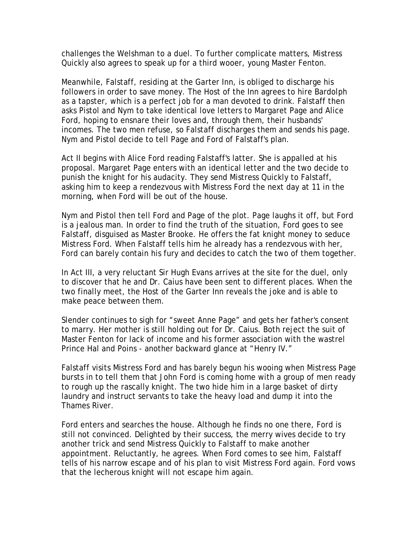challenges the Welshman to a duel. To further complicate matters, Mistress Quickly also agrees to speak up for a third wooer, young Master Fenton.

Meanwhile, Falstaff, residing at the Garter Inn, is obliged to discharge his followers in order to save money. The Host of the Inn agrees to hire Bardolph as a tapster, which is a perfect job for a man devoted to drink. Falstaff then asks Pistol and Nym to take identical love letters to Margaret Page and Alice Ford, hoping to ensnare their loves and, through them, their husbands' incomes. The two men refuse, so Falstaff discharges them and sends his page. Nym and Pistol decide to tell Page and Ford of Falstaff's plan.

Act II begins with Alice Ford reading Falstaff's latter. She is appalled at his proposal. Margaret Page enters with an identical letter and the two decide to punish the knight for his audacity. They send Mistress Quickly to Falstaff, asking him to keep a rendezvous with Mistress Ford the next day at 11 in the morning, when Ford will be out of the house.

Nym and Pistol then tell Ford and Page of the plot. Page laughs it off, but Ford is a jealous man. In order to find the truth of the situation, Ford goes to see Falstaff, disguised as Master Brooke. He offers the fat knight money to seduce Mistress Ford. When Falstaff tells him he already has a rendezvous with her, Ford can barely contain his fury and decides to catch the two of them together.

In Act III, a very reluctant Sir Hugh Evans arrives at the site for the duel, only to discover that he and Dr. Caius have been sent to different places. When the two finally meet, the Host of the Garter Inn reveals the joke and is able to make peace between them.

Slender continues to sigh for "sweet Anne Page" and gets her father's consent to marry. Her mother is still holding out for Dr. Caius. Both reject the suit of Master Fenton for lack of income and his former association with the wastrel Prince Hal and Poins - another backward glance at "Henry IV."

Falstaff visits Mistress Ford and has barely begun his wooing when Mistress Page bursts in to tell them that John Ford is coming home with a group of men ready to rough up the rascally knight. The two hide him in a large basket of dirty laundry and instruct servants to take the heavy load and dump it into the Thames River.

Ford enters and searches the house. Although he finds no one there, Ford is still not convinced. Delighted by their success, the merry wives decide to try another trick and send Mistress Quickly to Falstaff to make another appointment. Reluctantly, he agrees. When Ford comes to see him, Falstaff tells of his narrow escape and of his plan to visit Mistress Ford again. Ford vows that the lecherous knight will not escape him again.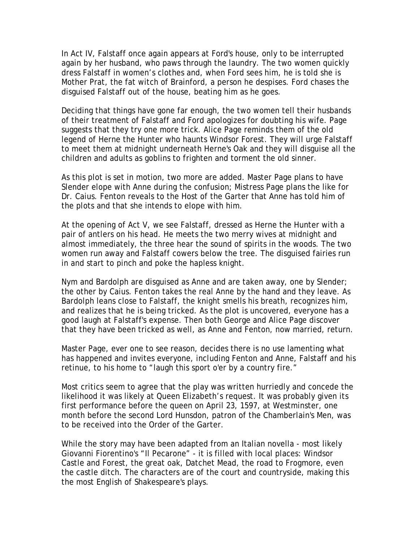In Act IV, Falstaff once again appears at Ford's house, only to be interrupted again by her husband, who paws through the laundry. The two women quickly dress Falstaff in women's clothes and, when Ford sees him, he is told she is Mother Prat, the fat witch of Brainford, a person he despises. Ford chases the disguised Falstaff out of the house, beating him as he goes.

Deciding that things have gone far enough, the two women tell their husbands of their treatment of Falstaff and Ford apologizes for doubting his wife. Page suggests that they try one more trick. Alice Page reminds them of the old legend of Herne the Hunter who haunts Windsor Forest. They will urge Falstaff to meet them at midnight underneath Herne's Oak and they will disguise all the children and adults as goblins to frighten and torment the old sinner.

As this plot is set in motion, two more are added. Master Page plans to have Slender elope with Anne during the confusion; Mistress Page plans the like for Dr. Caius. Fenton reveals to the Host of the Garter that Anne has told him of the plots and that she intends to elope with him.

At the opening of Act V, we see Falstaff, dressed as Herne the Hunter with a pair of antlers on his head. He meets the two merry wives at midnight and almost immediately, the three hear the sound of spirits in the woods. The two women run away and Falstaff cowers below the tree. The disguised fairies run in and start to pinch and poke the hapless knight.

Nym and Bardolph are disguised as Anne and are taken away, one by Slender; the other by Caius. Fenton takes the real Anne by the hand and they leave. As Bardolph leans close to Falstaff, the knight smells his breath, recognizes him, and realizes that he is being tricked. As the plot is uncovered, everyone has a good laugh at Falstaff's expense. Then both George and Alice Page discover that they have been tricked as well, as Anne and Fenton, now married, return.

Master Page, ever one to see reason, decides there is no use lamenting what has happened and invites everyone, including Fenton and Anne, Falstaff and his retinue, to his home to "laugh this sport o'er by a country fire."

Most critics seem to agree that the play was written hurriedly and concede the likelihood it was likely at Queen Elizabeth's request. It was probably given its first performance before the queen on April 23, 1597, at Westminster, one month before the second Lord Hunsdon, patron of the Chamberlain's Men, was to be received into the Order of the Garter.

While the story may have been adapted from an Italian novella - most likely Giovanni Fiorentino's "Il Pecarone" - it is filled with local places: Windsor Castle and Forest, the great oak, Datchet Mead, the road to Frogmore, even the castle ditch. The characters are of the court and countryside, making this the most English of Shakespeare's plays.